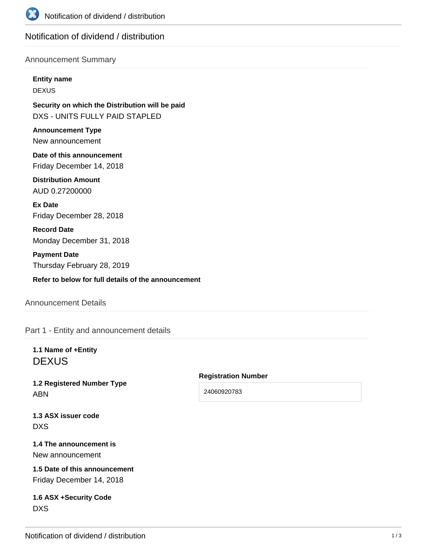

# Notification of dividend / distribution

## Announcement Summary

#### **Entity name**

DEXUS

**Security on which the Distribution will be paid** DXS - UNITS FULLY PAID STAPLED

**Announcement Type** New announcement

**Date of this announcement** Friday December 14, 2018

**Distribution Amount** AUD 0.27200000

**Ex Date** Friday December 28, 2018

**Record Date** Monday December 31, 2018

**Payment Date** Thursday February 28, 2019

**Refer to below for full details of the announcement**

## Announcement Details

Part 1 - Entity and announcement details

**1.1 Name of +Entity DEXUS** 

**1.2 Registered Number Type** ABN

### **Registration Number**

24060920783

**1.3 ASX issuer code** DXS

**1.4 The announcement is** New announcement

**1.5 Date of this announcement** Friday December 14, 2018

**1.6 ASX +Security Code** DXS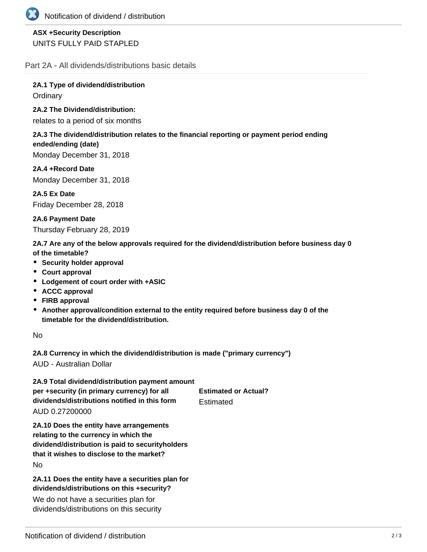

## **ASX +Security Description** UNITS FULLY PAID STAPLED

Part 2A - All dividends/distributions basic details

**2A.1 Type of dividend/distribution Ordinary** 

## **2A.2 The Dividend/distribution:**

relates to a period of six months

### **2A.3 The dividend/distribution relates to the financial reporting or payment period ending ended/ending (date)**

Monday December 31, 2018

**2A.4 +Record Date** Monday December 31, 2018

**2A.5 Ex Date** Friday December 28, 2018

**2A.6 Payment Date** Thursday February 28, 2019

**2A.7 Are any of the below approvals required for the dividend/distribution before business day 0 of the timetable?**

- **Security holder approval**
- **Court approval**
- **Lodgement of court order with +ASIC**
- **ACCC approval**
- **FIRB approval**
- **Another approval/condition external to the entity required before business day 0 of the timetable for the dividend/distribution.**

No

**2A.8 Currency in which the dividend/distribution is made ("primary currency")**

AUD - Australian Dollar

**2A.9 Total dividend/distribution payment amount per +security (in primary currency) for all dividends/distributions notified in this form Estimated** 

**Estimated or Actual?**

AUD 0.27200000

**2A.10 Does the entity have arrangements relating to the currency in which the dividend/distribution is paid to securityholders that it wishes to disclose to the market?** No

**2A.11 Does the entity have a securities plan for dividends/distributions on this +security?**

We do not have a securities plan for dividends/distributions on this security